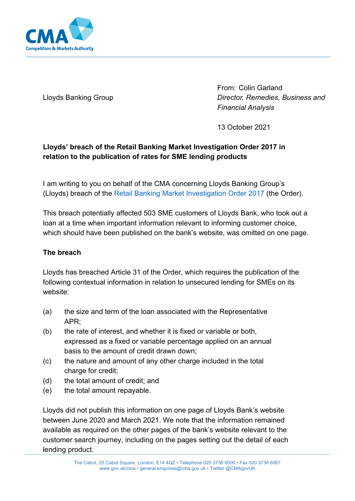

Lloyds Banking Group

From: Colin Garland *Director, Remedies, Business and Financial Analysis*

13 October 2021

# **Lloyds' breach of the Retail Banking Market Investigation Order 2017 in relation to the publication of rates for SME lending products**

I am writing to you on behalf of the CMA concerning Lloyds Banking Group's (Lloyds) breach of the [Retail Banking Market Investigation Order 2017](https://www.gov.uk/government/publications/retail-banking-market-investigation-order-2017) (the Order).

This breach potentially affected 503 SME customers of Lloyds Bank, who took out a loan at a time when important information relevant to informing customer choice, which should have been published on the bank's website, was omitted on one page.

## **The breach**

Lloyds has breached Article 31 of the Order, which requires the publication of the following contextual information in relation to unsecured lending for SMEs on its website:

- (a) the size and term of the loan associated with the Representative APR;
- (b) the rate of interest, and whether it is fixed or variable or both, expressed as a fixed or variable percentage applied on an annual basis to the amount of credit drawn down;
- (c) the nature and amount of any other charge included in the total charge for credit;
- (d) the total amount of credit; and
- (e) the total amount repayable.

Lloyds did not publish this information on one page of Lloyds Bank's website between June 2020 and March 2021. We note that the information remained available as required on the other pages of the bank's website relevant to the customer search journey, including on the pages setting out the detail of each lending product.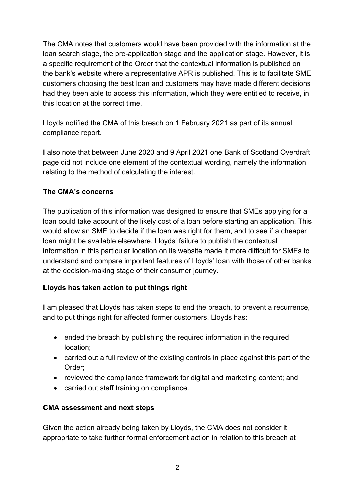The CMA notes that customers would have been provided with the information at the loan search stage, the pre-application stage and the application stage. However, it is a specific requirement of the Order that the contextual information is published on the bank's website where a representative APR is published. This is to facilitate SME customers choosing the best loan and customers may have made different decisions had they been able to access this information, which they were entitled to receive, in this location at the correct time.

Lloyds notified the CMA of this breach on 1 February 2021 as part of its annual compliance report.

I also note that between June 2020 and 9 April 2021 one Bank of Scotland Overdraft page did not include one element of the contextual wording, namely the information relating to the method of calculating the interest.

### **The CMA's concerns**

The publication of this information was designed to ensure that SMEs applying for a loan could take account of the likely cost of a loan before starting an application. This would allow an SME to decide if the loan was right for them, and to see if a cheaper loan might be available elsewhere. Lloyds' failure to publish the contextual information in this particular location on its website made it more difficult for SMEs to understand and compare important features of Lloyds' loan with those of other banks at the decision-making stage of their consumer journey.

## **Lloyds has taken action to put things right**

I am pleased that Lloyds has taken steps to end the breach, to prevent a recurrence, and to put things right for affected former customers. Lloyds has:

- ended the breach by publishing the required information in the required location;
- carried out a full review of the existing controls in place against this part of the Order;
- reviewed the compliance framework for digital and marketing content; and
- carried out staff training on compliance.

### **CMA assessment and next steps**

Given the action already being taken by Lloyds, the CMA does not consider it appropriate to take further formal enforcement action in relation to this breach at